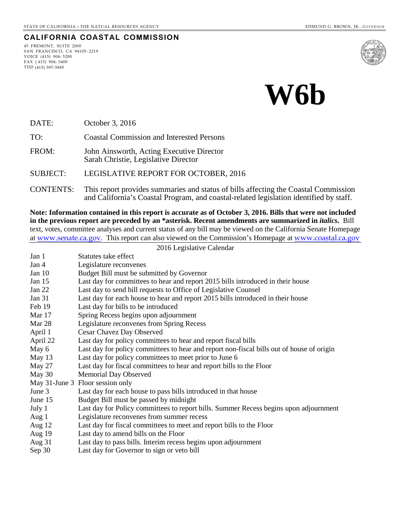# **CALIFORNIA COASTAL COMMISSION**

45 FREMONT, SUITE 2000 SAN FRANCISCO, CA 94105- 2219 VOICE (415) 904- 5200  $FAX (415) 904 - 5400$ TDD (415) 597-5885





DATE: October 3, 2016

TO: Coastal Commission and Interested Persons

FROM: John Ainsworth, Acting Executive Director Sarah Christie, Legislative Director

SUBJECT: LEGISLATIVE REPORT FOR OCTOBER, 2016

CONTENTS: This report provides summaries and status of bills affecting the Coastal Commission and California's Coastal Program, and coastal-related legislation identified by staff.

**Note: Information contained in this report is accurate as of October 3, 2016. Bills that were not included in the previous report are preceded by an \*asterisk. Recent amendments are summarized in** *italics***.** Bill text, votes, committee analyses and current status of any bill may be viewed on the California Senate Homepage at [www.senate.ca.gov](http://www.senate.ca.gov/). This report can also viewed on the Commission's Homepage at [www.coastal.ca.gov](http://www.coastal.ca.gov/)

|          | 2016 Legislative Calendar                                                                 |
|----------|-------------------------------------------------------------------------------------------|
| Jan 1    | Statutes take effect                                                                      |
| Jan 4    | Legislature reconvenes                                                                    |
| Jan $10$ | Budget Bill must be submitted by Governor                                                 |
| Jan $15$ | Last day for committees to hear and report 2015 bills introduced in their house           |
| Jan $22$ | Last day to send bill requests to Office of Legislative Counsel                           |
| Jan 31   | Last day for each house to hear and report 2015 bills introduced in their house           |
| Feb 19   | Last day for bills to be introduced                                                       |
| Mar 17   | Spring Recess begins upon adjournment                                                     |
| Mar 28   | Legislature reconvenes from Spring Recess                                                 |
| April 1  | Cesar Chavez Day Observed                                                                 |
| April 22 | Last day for policy committees to hear and report fiscal bills                            |
| May 6    | Last day for policy committees to hear and report non-fiscal bills out of house of origin |
| May 13   | Last day for policy committees to meet prior to June 6                                    |
| May 27   | Last day for fiscal committees to hear and report bills to the Floor                      |
| May 30   | <b>Memorial Day Observed</b>                                                              |
|          | May 31-June 3 Floor session only                                                          |
| June 3   | Last day for each house to pass bills introduced in that house                            |
| June 15  | Budget Bill must be passed by midnight                                                    |
| July 1   | Last day for Policy committees to report bills. Summer Recess begins upon adjournment     |
| Aug $1$  | Legislature reconvenes from summer recess                                                 |
| Aug $12$ | Last day for fiscal committees to meet and report bills to the Floor                      |
| Aug 19   | Last day to amend bills on the Floor                                                      |
| Aug $31$ | Last day to pass bills. Interim recess begins upon adjournment                            |
| Sep 30   | Last day for Governor to sign or veto bill                                                |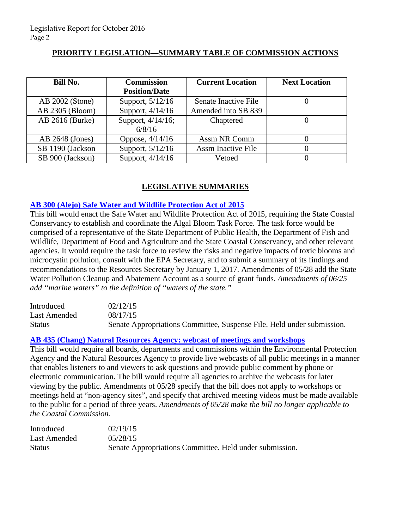# **PRIORITY LEGISLATION—SUMMARY TABLE OF COMMISSION ACTIONS**

| Bill No.         | <b>Commission</b>    | <b>Current Location</b>   | <b>Next Location</b> |
|------------------|----------------------|---------------------------|----------------------|
|                  | <b>Position/Date</b> |                           |                      |
| AB 2002 (Stone)  | Support, 5/12/16     | Senate Inactive File      |                      |
| AB 2305 (Bloom)  | Support, 4/14/16     | Amended into SB 839       |                      |
| AB 2616 (Burke)  | Support, 4/14/16;    | Chaptered                 |                      |
|                  | 6/8/16               |                           |                      |
| AB 2648 (Jones)  | Oppose, $4/14/16$    | Assm NR Comm              |                      |
| SB 1190 (Jackson | Support, 5/12/16     | <b>Assm Inactive File</b> |                      |
| SB 900 (Jackson) | Support, 4/14/16     | Vetoed                    |                      |

# **LEGISLATIVE SUMMARIES**

#### **[AB 300 \(Alejo\) Safe Water and Wildlife Protection Act of 2015](http://www.leginfo.ca.gov/pub/15-16/bill/asm/ab_0251-0300/ab_300_bill_20150817_amended_sen_v93.htm)**

This bill would enact the Safe Water and Wildlife Protection Act of 2015, requiring the State Coastal Conservancy to establish and coordinate the Algal Bloom Task Force. The task force would be comprised of a representative of the State Department of Public Health, the Department of Fish and Wildlife, Department of Food and Agriculture and the State Coastal Conservancy, and other relevant agencies. It would require the task force to review the risks and negative impacts of toxic blooms and microcystin pollution, consult with the EPA Secretary, and to submit a summary of its findings and recommendations to the Resources Secretary by January 1, 2017. Amendments of 05/28 add the State Water Pollution Cleanup and Abatement Account as a source of grant funds. *Amendments of 06/25 add "marine waters" to the definition of "waters of the state."* 

| Introduced    | 02/12/15                                                               |
|---------------|------------------------------------------------------------------------|
| Last Amended  | 08/17/15                                                               |
| <b>Status</b> | Senate Appropriations Committee, Suspense File. Held under submission. |

#### **[AB 435 \(Chang\) Natural Resources Agency: webcast of meetings and workshops](http://www.leginfo.ca.gov/pub/15-16/bill/asm/ab_0401-0450/ab_435_bill_20150818_amended_sen_v95.htm)**

This bill would require all boards, departments and commissions within the Environmental Protection Agency and the Natural Resources Agency to provide live webcasts of all public meetings in a manner that enables listeners to and viewers to ask questions and provide public comment by phone or electronic communication. The bill would require all agencies to archive the webcasts for later viewing by the public. Amendments of 05/28 specify that the bill does not apply to workshops or meetings held at "non-agency sites", and specify that archived meeting videos must be made available to the public for a period of three years. *Amendments of 05/28 make the bill no longer applicable to the Coastal Commission.* 

| Introduced    | 02/19/15                                                |
|---------------|---------------------------------------------------------|
| Last Amended  | 0.5/28/15                                               |
| <b>Status</b> | Senate Appropriations Committee. Held under submission. |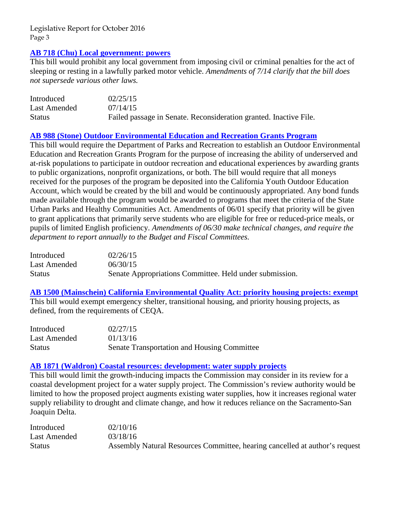#### **[AB 718 \(Chu\) Local government: powers](http://www.leginfo.ca.gov/pub/15-16/bill/asm/ab_0701-0750/ab_718_bill_20150714_amended_sen_v95.htm)**

This bill would prohibit any local government from imposing civil or criminal penalties for the act of sleeping or resting in a lawfully parked motor vehicle. *Amendments of 7/14 clarify that the bill does not supersede various other laws.* 

| Introduced    | 02/25/15                                                          |
|---------------|-------------------------------------------------------------------|
| Last Amended  | 07/14/15                                                          |
| <b>Status</b> | Failed passage in Senate. Reconsideration granted. Inactive File. |

# **[AB 988 \(Stone\) Outdoor Environmental Education and Recreation Grants Program](http://www.leginfo.ca.gov/pub/15-16/bill/asm/ab_0951-1000/ab_988_bill_20150630_amended_sen_v96.htm)**

This bill would require the Department of Parks and Recreation to establish an Outdoor Environmental Education and Recreation Grants Program for the purpose of increasing the ability of underserved and at-risk populations to participate in outdoor recreation and educational experiences by awarding grants to public organizations, nonprofit organizations, or both. The bill would require that all moneys received for the purposes of the program be deposited into the California Youth Outdoor Education Account, which would be created by the bill and would be continuously appropriated. Any bond funds made available through the program would be awarded to programs that meet the criteria of the State Urban Parks and Healthy Communities Act. Amendments of 06/01 specify that priority will be given to grant applications that primarily serve students who are eligible for free or reduced-price meals, or pupils of limited English proficiency. *Amendments of 06/30 make technical changes, and require the department to report annually to the Budget and Fiscal Committees.* 

| Introduced   | 02/26/15                                                |
|--------------|---------------------------------------------------------|
| Last Amended | 06/30/15                                                |
| Status       | Senate Appropriations Committee. Held under submission. |

# **[AB 1500 \(Mainschein\) California Environmental Quality Act: priority housing projects:](http://www.leginfo.ca.gov/pub/15-16/bill/asm/ab_1451-1500/ab_1500_bill_20160113_amended_asm_v96.htm) exempt**

This bill would exempt emergency shelter, transitional housing, and priority housing projects, as defined, from the requirements of CEQA.

| Introduced    | 02/27/15                                    |
|---------------|---------------------------------------------|
| Last Amended  | 01/13/16                                    |
| <b>Status</b> | Senate Transportation and Housing Committee |

#### **[AB 1871 \(Waldron\) Coastal resources: development: water supply projects](http://www.leginfo.ca.gov/pub/15-16/bill/asm/ab_1851-1900/ab_1871_bill_20160318_amended_asm_v98.htm)**

This bill would limit the growth-inducing impacts the Commission may consider in its review for a coastal development project for a water supply project. The Commission's review authority would be limited to how the proposed project augments existing water supplies, how it increases regional water supply reliability to drought and climate change, and how it reduces reliance on the Sacramento-San Joaquin Delta.

| Introduced    | 02/10/16                                                                    |
|---------------|-----------------------------------------------------------------------------|
| Last Amended  | 03/18/16                                                                    |
| <b>Status</b> | Assembly Natural Resources Committee, hearing cancelled at author's request |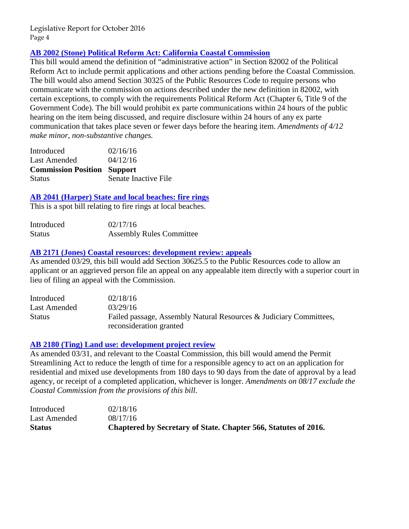# **[AB 2002 \(Stone\) Political Reform Act: California Coastal Commission](http://www.leginfo.ca.gov/pub/15-16/bill/asm/ab_2001-2050/ab_2002_bill_20160412_amended_asm_v97.htm)**

This bill would amend the definition of "administrative action" in Section 82002 of the Political Reform Act to include permit applications and other actions pending before the Coastal Commission. The bill would also amend Section 30325 of the Public Resources Code to require persons who communicate with the commission on actions described under the new definition in 82002, with certain exceptions, to comply with the requirements Political Reform Act (Chapter 6, Title 9 of the Government Code). The bill would prohibit ex parte communications within 24 hours of the public hearing on the item being discussed, and require disclosure within 24 hours of any ex parte communication that takes place seven or fewer days before the hearing item. *Amendments of 4/12 make minor, non-substantive changes.* 

| Introduced                         | 02/16/16 |
|------------------------------------|----------|
| Last Amended                       | 04/12/16 |
|                                    |          |
| <b>Commission Position Support</b> |          |

#### **[AB 2041 \(Harper\) State and local beaches: fire rings](http://www.leginfo.ca.gov/pub/15-16/bill/asm/ab_2001-2050/ab_2041_bill_20160217_introduced.htm)**

This is a spot bill relating to fire rings at local beaches.

| Introduced    | 02/17/16                        |
|---------------|---------------------------------|
| <b>Status</b> | <b>Assembly Rules Committee</b> |

#### **[AB 2171 \(Jones\) Coastal resources: development review: appeals](http://www.leginfo.ca.gov/pub/15-16/bill/asm/ab_2151-2200/ab_2171_bill_20160329_amended_asm_v98.pdf)**

As amended 03/29, this bill would add Section 30625.5 to the Public Resources code to allow an applicant or an aggrieved person file an appeal on any appealable item directly with a superior court in lieu of filing an appeal with the Commission.

| Introduced    | 02/18/16                                                           |
|---------------|--------------------------------------------------------------------|
| Last Amended  | 03/29/16                                                           |
| <b>Status</b> | Failed passage, Assembly Natural Resources & Judiciary Committees, |
|               | reconsideration granted                                            |

#### **[AB 2180 \(Ting\) Land use: development project review](http://www.leginfo.ca.gov/pub/15-16/bill/asm/ab_2151-2200/ab_2180_bill_20160924_chaptered.htm)**

As amended 03/31, and relevant to the Coastal Commission, this bill would amend the Permit Streamlining Act to reduce the length of time for a responsible agency to act on an application for residential and mixed use developments from 180 days to 90 days from the date of approval by a lead agency, or receipt of a completed application, whichever is longer. *Amendments on 08/17 exclude the Coastal Commission from the provisions of this bill.*

| <b>Status</b> | Chaptered by Secretary of State. Chapter 566, Statutes of 2016. |
|---------------|-----------------------------------------------------------------|
| Last Amended  | 08/17/16                                                        |
| Introduced    | 02/18/16                                                        |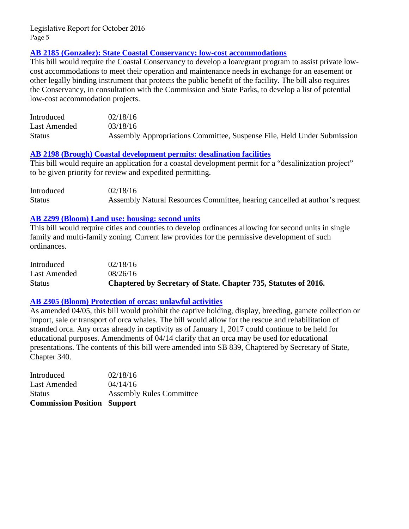#### **[AB 2185 \(Gonzalez\): State Coastal Conservancy: low-cost accommodations](http://www.leginfo.ca.gov/pub/15-16/bill/asm/ab_2151-2200/ab_2185_bill_20160318_amended_asm_v98.htm)**

This bill would require the Coastal Conservancy to develop a loan/grant program to assist private lowcost accommodations to meet their operation and maintenance needs in exchange for an easement or other legally binding instrument that protects the public benefit of the facility. The bill also requires the Conservancy, in consultation with the Commission and State Parks, to develop a list of potential low-cost accommodation projects.

| Introduced    | 02/18/16                                                                |
|---------------|-------------------------------------------------------------------------|
| Last Amended  | 03/18/16                                                                |
| <b>Status</b> | Assembly Appropriations Committee, Suspense File, Held Under Submission |

#### **[AB 2198 \(Brough\) Coastal development permits: desalination facilities](http://www.leginfo.ca.gov/pub/15-16/bill/asm/ab_2151-2200/ab_2198_bill_20160218_introduced.pdf)**

This bill would require an application for a coastal development permit for a "desalinization project" to be given priority for review and expedited permitting.

| Introduced    | 02/18/16                                                                    |
|---------------|-----------------------------------------------------------------------------|
| <b>Status</b> | Assembly Natural Resources Committee, hearing cancelled at author's request |

#### **[AB 2299 \(Bloom\) Land use: housing: second units](http://www.leginfo.ca.gov/pub/15-16/bill/asm/ab_2251-2300/ab_2299_bill_20160927_chaptered.htm)**

This bill would require cities and counties to develop ordinances allowing for second units in single family and multi-family zoning. Current law provides for the permissive development of such ordinances.

| <b>Status</b> | Chaptered by Secretary of State. Chapter 735, Statutes of 2016. |
|---------------|-----------------------------------------------------------------|
| Last Amended  | 08/26/16                                                        |
| Introduced    | 02/18/16                                                        |

#### **[AB 2305 \(Bloom\) Protection of orcas: unlawful activities](http://www.leginfo.ca.gov/pub/15-16/bill/asm/ab_2301-2350/ab_2305_bill_20160414_amended_asm_v96.htm)**

As amended 04/05, this bill would prohibit the captive holding, display, breeding, gamete collection or import, sale or transport of orca whales. The bill would allow for the rescue and rehabilitation of stranded orca. Any orcas already in captivity as of January 1, 2017 could continue to be held for educational purposes. Amendments of 04/14 clarify that an orca may be used for educational presentations. The contents of this bill were amended into SB 839, Chaptered by Secretary of State, Chapter 340.

Introduced 02/18/16 Last Amended  $04/14/16$ Status Assembly Rules Committee **Commission Position Support**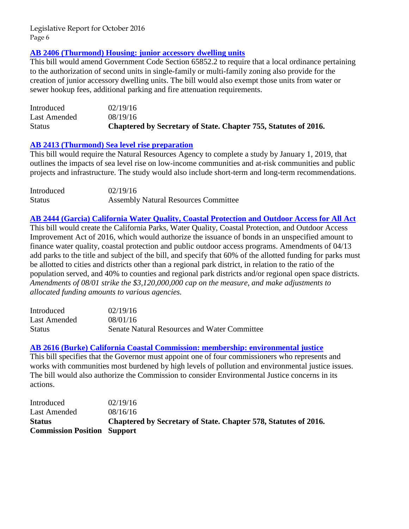#### **[AB 2406 \(Thurmond\) Housing: junior accessory dwelling units](http://www.leginfo.ca.gov/pub/15-16/bill/asm/ab_2401-2450/ab_2406_bill_20160928_chaptered.htm)**

This bill would amend Government Code Section 65852.2 to require that a local ordinance pertaining to the authorization of second units in single-family or multi-family zoning also provide for the creation of junior accessory dwelling units. The bill would also exempt those units from water or sewer hookup fees, additional parking and fire attenuation requirements.

| Status       | Chaptered by Secretary of State. Chapter 755, Statutes of 2016. |
|--------------|-----------------------------------------------------------------|
| Last Amended | 08/19/16                                                        |
| Introduced   | 02/19/16                                                        |

#### **[AB 2413 \(Thurmond\) Sea level rise preparation](http://www.leginfo.ca.gov/pub/15-16/bill/asm/ab_2251-2300/ab_2299_bill_20160405_amended_asm_v98.htm)**

This bill would require the Natural Resources Agency to complete a study by January 1, 2019, that outlines the impacts of sea level rise on low-income communities and at-risk communities and public projects and infrastructure. The study would also include short-term and long-term recommendations.

| Introduced    | 02/19/16                                    |
|---------------|---------------------------------------------|
| <b>Status</b> | <b>Assembly Natural Resources Committee</b> |

**[AB 2444 \(Garcia\) California Water Quality, Coastal Protection and Outdoor Access for All Act](http://www.leginfo.ca.gov/pub/15-16/bill/asm/ab_2401-2450/ab_2444_bill_20160623_amended_asm_v94.htm)** This bill would create the California Parks, Water Quality, Coastal Protection, and Outdoor Access Improvement Act of 2016, which would authorize the issuance of bonds in an unspecified amount to finance water quality, coastal protection and public outdoor access programs. Amendments of 04/13 add parks to the title and subject of the bill, and specify that 60% of the allotted funding for parks must be allotted to cities and districts other than a regional park district, in relation to the ratio of the population served, and 40% to counties and regional park districts and/or regional open space districts. *Amendments of 08/01 strike the \$3,120,000,000 cap on the measure, and make adjustments to allocated funding amounts to various agencies.*

| Introduced    | 02/19/16                                     |
|---------------|----------------------------------------------|
| Last Amended  | 08/01/16                                     |
| <b>Status</b> | Senate Natural Resources and Water Committee |

#### **[AB 2616 \(Burke\) California Coastal Commission: membership: environmental justice](http://www.leginfo.ca.gov/pub/15-16/bill/asm/ab_2601-2650/ab_2616_bill_20160924_chaptered.htm)**

This bill specifies that the Governor must appoint one of four commissioners who represents and works with communities most burdened by high levels of pollution and environmental justice issues. The bill would also authorize the Commission to consider Environmental Justice concerns in its actions.

| <b>Commission Position Support</b> |                                                                 |
|------------------------------------|-----------------------------------------------------------------|
| <b>Status</b>                      | Chaptered by Secretary of State. Chapter 578, Statutes of 2016. |
| <b>Last Amended</b>                | 08/16/16                                                        |
| Introduced                         | 02/19/16                                                        |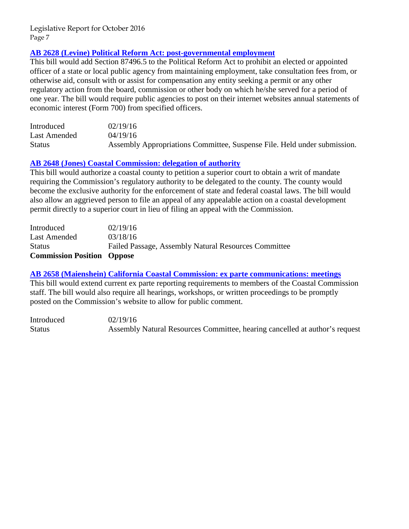# **[AB 2628 \(Levine\) Political Reform Act: post-governmental employment](http://www.leginfo.ca.gov/pub/15-16/bill/asm/ab_2601-2650/ab_2628_bill_20160419_amended_asm_v96.htm)**

This bill would add Section 87496.5 to the Political Reform Act to prohibit an elected or appointed officer of a state or local public agency from maintaining employment, take consultation fees from, or otherwise aid, consult with or assist for compensation any entity seeking a permit or any other regulatory action from the board, commission or other body on which he/she served for a period of one year. The bill would require public agencies to post on their internet websites annual statements of economic interest (Form 700) from specified officers.

| Introduced    | 02/19/16                                                                 |
|---------------|--------------------------------------------------------------------------|
| Last Amended  | 04/19/16                                                                 |
| <b>Status</b> | Assembly Appropriations Committee, Suspense File. Held under submission. |

#### **[AB 2648 \(Jones\) Coastal Commission: delegation of authority](http://www.leginfo.ca.gov/pub/15-16/bill/asm/ab_2601-2650/ab_2648_bill_20160318_amended_asm_v98.htm)**

This bill would authorize a coastal county to petition a superior court to obtain a writ of mandate requiring the Commission's regulatory authority to be delegated to the county. The county would become the exclusive authority for the enforcement of state and federal coastal laws. The bill would also allow an aggrieved person to file an appeal of any appealable action on a coastal development permit directly to a superior court in lieu of filing an appeal with the Commission.

| <b>Commission Position Oppose</b> |                                                      |
|-----------------------------------|------------------------------------------------------|
| <b>Status</b>                     | Failed Passage, Assembly Natural Resources Committee |
| Last Amended                      | 03/18/16                                             |
| Introduced                        | 02/19/16                                             |

# **[AB 2658 \(Maienshein\) California Coastal Commission: ex parte communications: meetings](http://www.leginfo.ca.gov/pub/15-16/bill/asm/ab_2651-2700/ab_2658_bill_20160219_introduced.pdf)**

This bill would extend current ex parte reporting requirements to members of the Coastal Commission staff. The bill would also require all hearings, workshops, or written proceedings to be promptly posted on the Commission's website to allow for public comment.

Introduced 02/19/16 Status Assembly Natural Resources Committee, hearing cancelled at author's request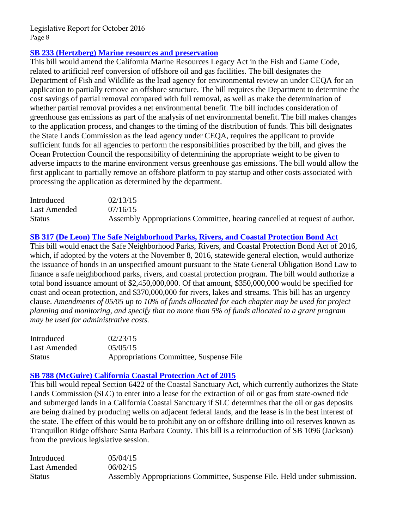# **SB 233 (Hertzberg) [Marine resources and preservation](http://www.leginfo.ca.gov/pub/15-16/bill/sen/sb_0201-0250/sb_233_bill_20150716_amended_asm_v94.htm)**

This bill would amend the California Marine Resources Legacy Act in the Fish and Game Code, related to artificial reef conversion of offshore oil and gas facilities. The bill designates the Department of Fish and Wildlife as the lead agency for environmental review an under CEQA for an application to partially remove an offshore structure. The bill requires the Department to determine the cost savings of partial removal compared with full removal, as well as make the determination of whether partial removal provides a net environmental benefit. The bill includes consideration of greenhouse gas emissions as part of the analysis of net environmental benefit. The bill makes changes to the application process, and changes to the timing of the distribution of funds. This bill designates the State Lands Commission as the lead agency under CEQA, requires the applicant to provide sufficient funds for all agencies to perform the responsibilities proscribed by the bill, and gives the Ocean Protection Council the responsibility of determining the appropriate weight to be given to adverse impacts to the marine environment versus greenhouse gas emissions. The bill would allow the first applicant to partially remove an offshore platform to pay startup and other costs associated with processing the application as determined by the department*.* 

| Introduced    | 02/13/15                                                                   |
|---------------|----------------------------------------------------------------------------|
| Last Amended  | 07/16/15                                                                   |
| <b>Status</b> | Assembly Appropriations Committee, hearing cancelled at request of author. |

#### **[SB 317 \(De Leon\) The Safe Neighborhood Parks, Rivers, and Coastal Protection Bond Act](http://www.leginfo.ca.gov/pub/15-16/bill/sen/sb_0301-0350/sb_317_bill_20150505_amended_sen_v96.htm)**

This bill would enact the Safe Neighborhood Parks, Rivers, and Coastal Protection Bond Act of 2016, which, if adopted by the voters at the November 8, 2016, statewide general election, would authorize the issuance of bonds in an unspecified amount pursuant to the State General Obligation Bond Law to finance a safe neighborhood parks, rivers, and coastal protection program. The bill would authorize a total bond issuance amount of \$2,450,000,000. Of that amount, \$350,000,000 would be specified for coast and ocean protection, and \$370,000,000 for rivers, lakes and streams. This bill has an urgency clause. *Amendments of 05/05 up to 10% of funds allocated for each chapter may be used for project planning and monitoring, and specify that no more than 5% of funds allocated to a grant program may be used for administrative costs.* 

| Introduced    | 02/23/15                                |
|---------------|-----------------------------------------|
| Last Amended  | 05/05/15                                |
| <b>Status</b> | Appropriations Committee, Suspense File |

#### **[SB 788 \(McGuire\) California Coastal Protection Act of 2015](http://www.leginfo.ca.gov/pub/15-16/bill/sen/sb_0751-0800/sb_788_bill_20150602_amended_sen_v97.htm)**

This bill would repeal Section 6422 of the Coastal Sanctuary Act, which currently authorizes the State Lands Commission (SLC) to enter into a lease for the extraction of oil or gas from state-owned tide and submerged lands in a California Coastal Sanctuary if SLC determines that the oil or gas deposits are being drained by producing wells on adjacent federal lands, and the lease is in the best interest of the state. The effect of this would be to prohibit any on or offshore drilling into oil reserves known as Tranquillon Ridge offshore Santa Barbara County. This bill is a reintroduction of SB 1096 (Jackson) from the previous legislative session.

| Introduced    | 05/04/15                                                                 |
|---------------|--------------------------------------------------------------------------|
| Last Amended  | 06/02/15                                                                 |
| <b>Status</b> | Assembly Appropriations Committee, Suspense File. Held under submission. |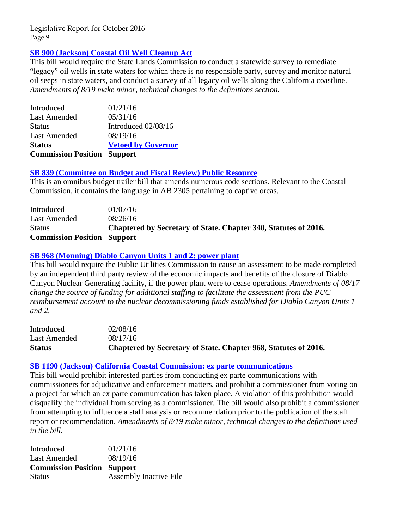# **[SB 900 \(Jackson\) Coastal Oil Well Cleanup Act](http://www.leginfo.ca.gov/pub/15-16/bill/sen/sb_0851-0900/sb_900_bill_20160830_enrolled.htm)**

This bill would require the State Lands Commission to conduct a statewide survey to remediate "legacy" oil wells in state waters for which there is no responsible party, survey and monitor natural oil seeps in state waters, and conduct a survey of all legacy oil wells along the California coastline. *Amendments of 8/19 make minor, technical changes to the definitions section.* 

| <b>Commission Position Support</b> |                           |
|------------------------------------|---------------------------|
| <b>Status</b>                      | <b>Vetoed by Governor</b> |
| <b>Last Amended</b>                | 08/19/16                  |
| <b>Status</b>                      | Introduced 02/08/16       |
| <b>Last Amended</b>                | 05/31/16                  |
| Introduced                         | 01/21/16                  |

#### **[SB 839 \(Committee on Budget and Fiscal Review\) Public Resource](http://www.leginfo.ca.gov/pub/15-16/bill/sen/sb_0801-0850/sb_839_bill_20160913_chaptered.htm)**

This is an omnibus budget trailer bill that amends numerous code sections*.* Relevant to the Coastal Commission, it contains the language in AB 2305 pertaining to captive orcas.

| Introduced                         | 01/07/16                                                        |
|------------------------------------|-----------------------------------------------------------------|
| Last Amended                       | 08/26/16                                                        |
| <b>Status</b>                      | Chaptered by Secretary of State. Chapter 340, Statutes of 2016. |
| <b>Commission Position Support</b> |                                                                 |

# **[SB 968 \(Monning\) Diablo Canyon Units 1 and 2: power plant](http://www.leginfo.ca.gov/pub/15-16/bill/sen/sb_0951-1000/sb_968_bill_20160926_chaptered.htm)**

This bill would require the Public Utilities Commission to cause an assessment to be made completed by an independent third party review of the economic impacts and benefits of the closure of Diablo Canyon Nuclear Generating facility, if the power plant were to cease operations. *Amendments of 08/17 change the source of funding for additional staffing to facilitate the assessment from the PUC reimbursement account to the nuclear decommissioning funds established for Diablo Canyon Units 1 and 2.* 

| <b>Status</b> | Chaptered by Secretary of State. Chapter 968, Statutes of 2016. |
|---------------|-----------------------------------------------------------------|
| Last Amended  | 08/17/16                                                        |
| Introduced    | 02/08/16                                                        |

#### **[SB 1190 \(Jackson\) California Coastal Commission: ex parte communications](http://www.leginfo.ca.gov/pub/15-16/bill/sen/sb_1151-1200/sb_1190_bill_20160608_amended_asm_v95.htm)**

This bill would prohibit interested parties from conducting ex parte communications with commissioners for adjudicative and enforcement matters, and prohibit a commissioner from voting on a project for which an ex parte communication has taken place. A violation of this prohibition would disqualify the individual from serving as a commissioner. The bill would also prohibit a commissioner from attempting to influence a staff analysis or recommendation prior to the publication of the staff report or recommendation. *Amendments of 8/19 make minor, technical changes to the definitions used in the bill.*

| Introduced                         | 01/21/16                      |
|------------------------------------|-------------------------------|
| Last Amended                       | 08/19/16                      |
| <b>Commission Position Support</b> |                               |
| <b>Status</b>                      | <b>Assembly Inactive File</b> |